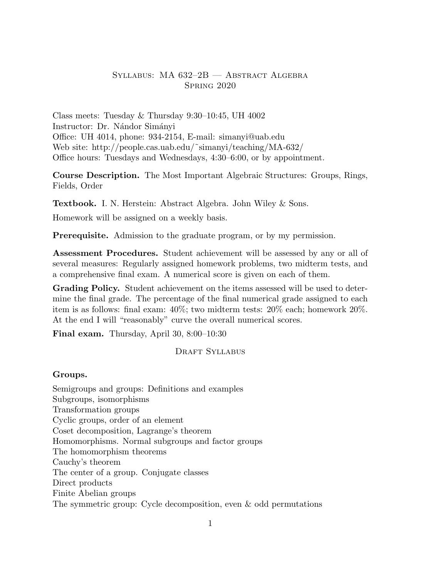### Syllabus: MA 632–2B — Abstract Algebra Spring 2020

Class meets: Tuesday & Thursday 9:30–10:45, UH 4002 Instructor: Dr. Nándor Simányi Office: UH 4014, phone: 934-2154, E-mail: simanyi@uab.edu Web site: http://people.cas.uab.edu/˜simanyi/teaching/MA-632/ Office hours: Tuesdays and Wednesdays, 4:30–6:00, or by appointment.

Course Description. The Most Important Algebraic Structures: Groups, Rings, Fields, Order

Textbook. I. N. Herstein: Abstract Algebra. John Wiley & Sons.

Homework will be assigned on a weekly basis.

Prerequisite. Admission to the graduate program, or by my permission.

Assessment Procedures. Student achievement will be assessed by any or all of several measures: Regularly assigned homework problems, two midterm tests, and a comprehensive final exam. A numerical score is given on each of them.

Grading Policy. Student achievement on the items assessed will be used to determine the final grade. The percentage of the final numerical grade assigned to each item is as follows: final exam: 40%; two midterm tests: 20% each; homework 20%. At the end I will "reasonably" curve the overall numerical scores.

Final exam. Thursday, April 30, 8:00–10:30

#### DRAFT SYLLABUS

#### Groups.

Semigroups and groups: Definitions and examples Subgroups, isomorphisms Transformation groups Cyclic groups, order of an element Coset decomposition, Lagrange's theorem Homomorphisms. Normal subgroups and factor groups The homomorphism theorems Cauchy's theorem The center of a group. Conjugate classes Direct products Finite Abelian groups The symmetric group: Cycle decomposition, even & odd permutations